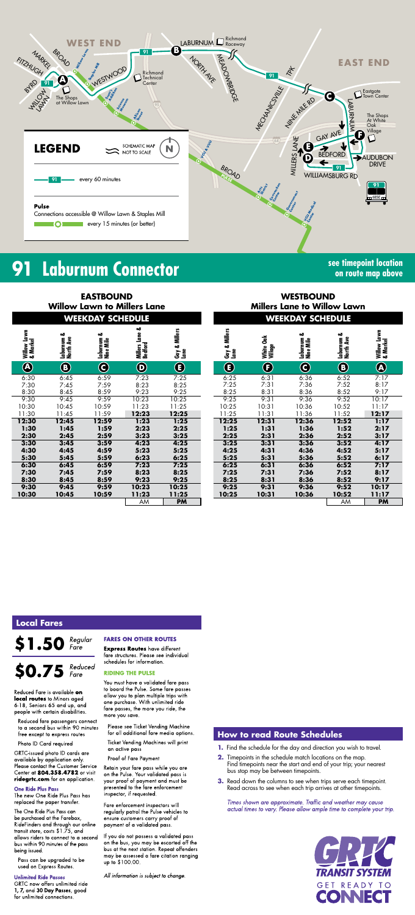

#### 91 **Laburnum Connector**

**EASTBOUND** 

see timepoint location on route map above

|                         |                         | <b>Willow Lawn to Millers Lane</b> |                           |                                   |
|-------------------------|-------------------------|------------------------------------|---------------------------|-----------------------------------|
|                         |                         | <b>WEEKDAY SCHEDULE</b>            |                           |                                   |
| Willow Lawn<br>& Markel | Laburnum &<br>North Ave | Laburnum &<br>Nine Mile            | Millers Lane &<br>Bedford | <b>Millers</b><br>Gay & I<br>Lane |
| $\widehat{\bm{Q}}$      | $\bf{G}$                | C                                  | $\bigcirc$                | Œ                                 |
| 6:30                    | 6:45                    | 6:59                               | 7:23                      | 7:25                              |
| 7:30                    | 7:45                    | 7:59                               | 8:23                      | 8:25                              |
| 8:30                    | 8:45                    | 8:59                               | 9:23                      | 9:25                              |
| 9:30                    | 9:45                    | 9:59                               | 10:23                     | 10:25                             |
| 10:30                   | 10:45                   | 10:59                              | 11:23                     | 11:25                             |
| 11:30                   | 11:45                   | 11:59                              | 12:23                     | 12:25                             |
| 12:30                   | 12:45                   | 12:59                              | 1:23                      | 1:25                              |
| 1:30                    | 1:45                    | 1:59                               | 2:23                      | 2:25                              |
| 2:30                    | 2:45                    | 2:59                               | 3:23                      | 3:25                              |
| 3:30                    | 3:45                    | 3:59                               | 4:23                      | 4:25                              |
| 4:30                    | 4:45                    | 4:59                               | 5:23                      | 5:25                              |
| 5:30                    | 5:45                    | 5:59                               | 6:23                      | 6:25                              |
| 6:30                    | 6:45                    | 6:59                               | 7:23                      | 7:25                              |
| 7:30                    | 7:45                    | 7:59                               | 8:23                      | 8:25                              |
| 8:30                    | 8:45                    | 8:59                               | 9:23                      | 9:25                              |
| 9:30                    | 9:45                    | 9:59                               | 10:23                     | 10:25                             |
| 10:30                   | 10:45                   | 10:59                              | 11:23                     | 11:25                             |
|                         |                         |                                    | AM                        | PM                                |

|                       |                      | <b>WEEKDAY SCHEDULE</b>      |                         |                         |
|-----------------------|----------------------|------------------------------|-------------------------|-------------------------|
| Gay & Millers<br>Lane | White Oak<br>Village | ఱ<br>Laburnum &<br>Nine Mile | Laburnum &<br>North Ave | Willow Lawn<br>& Markel |
| $\mathbf{F}$          | F                    | C                            | B                       | A                       |
| 6:25                  | 6:31                 | 6:36                         | 6:52                    | 7:17                    |
| 7:25                  | 7:31                 | 7:36                         | 7:52                    | 8:17                    |
| 8:25                  | 8:31                 | 8:36                         | 8:52                    | 9:17                    |
| 9:25                  | 9:31                 | 9:36                         | 9:52                    | 10:17                   |
| 10:25                 | 10:31                | 10:36                        | 10:52                   | 11:17                   |
| 11:25                 | 11:31                | 11:36                        | 11:52                   | 12:17                   |
| 12:25                 | 12:31                | 12:36                        | 12:52                   | 1:17                    |
| 1:25                  | 1:31                 | 1:36                         | 1:52                    | 2:17                    |
| 2:25                  | 2:31                 | 2:36                         | 2:52                    | 3:17                    |
| 3:25                  | 3:31                 | 3:36                         | 3:52                    | 4:17                    |
| 4:25                  | 4:31                 | 4:36                         | 4:52                    | 5:17                    |
| 5:25                  | 5:31                 | 5:36                         | 5:52                    | 6:17                    |
| 6:25                  | 6:31                 | 6:36                         | 6:52                    | 7:17                    |
| 7:25                  | 7:31                 | 7:36                         | 7:52                    | 8:17                    |
| 8:25                  | 8:31                 | 8:36                         | 8:52                    | 9:17                    |
| 9:25                  | 9:31                 | 9:36                         | 9:52                    | 10:17                   |
| 10:25                 | 10:31                | 10:36                        | 10:52                   | 11:17                   |
|                       |                      |                              | AM                      | РM                      |
|                       |                      |                              |                         |                         |

**WESTBOUND** 

**Millers Lane to Willow Lawn** 

### **Local Fares**

#### Regular<br>Fare \$1.50

## $$0.75$  Reduced

Reduced Fare is available on local routes to Minors aged 6-18, Seniors 65 and up, and people with certain disabilities.

Reduced fare passengers connect to a second bus within 90 minutes free except to express routes

Photo ID Card required

GRTC-issued photo ID cards are available by application only. Please contact the Customer Service Center at 804.358.4782 or visit ridegrtc.com for an application.

#### **One Ride Plus Pass**

The new One Ride Plus Pass has replaced the paper transfer.

The One Ride Plus Pass can be purchased at the Farebox, RideFinders and through our online transit store, costs \$1.75, and allows riders to connect to a second bus within 90 minutes of the pass being issued.

Pass can be upgraded to be used on Express Routes.

#### **Unlimited Ride Passes**

GRTC now offers unlimited ride 1, 7, and 30 Day Passes, good for unlimited connections.

#### **FARES ON OTHER ROUTES**

**Express Routes** have different fare structures. Please see individual schedules for information.

#### **RIDING THE PULSE**

You must have a validated fare pass to board the Pulse. Some fare passes allow you to plan multiple trips with one purchase. With unlimited ride fare passes, the more you ride, the more you save.

Please see Ticket Vending Machine for all additional fare media options.

**Ticket Vending Machines will print** an active pass

Proof of Fare Payment

Retain your fare pass while you are on the Pulse. Your validated pass is your proof of payment and must be presented to the fare enforcement inspector, if requested.

Fare enforcement inspectors will regularly patrol the Pulse vehicles to ensure customers carry proof of payment of a validated pass.

If you do not possess a validated pass on the bus, you may be escorted off the bus at the next station. Repeat offenders may be assessed a fare citation ranging up to \$100.00.

All information is subject to change.

#### **How to read Route Schedules**

- 1. Find the schedule for the day and direction you wish to travel.
- 2. Timepoints in the schedule match locations on the map. Find timepoints near the start and end of your trip; your nearest bus stop may be between timepoints.
- 3. Read down the columns to see when trips serve each timepoint. Read across to see when each trip arrives at other timepoints.

Times shown are approximate. Traffic and weather may cause actual times to vary. Please allow ample time to complete your trip.